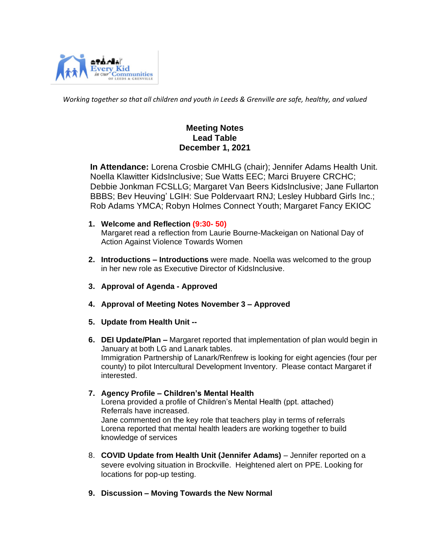

*Working together so that all children and youth in Leeds & Grenville are safe, healthy, and valued*

# **Meeting Notes Lead Table December 1, 2021**

 **In Attendance:** Lorena Crosbie CMHLG (chair); Jennifer Adams Health Unit. Noella Klawitter KidsInclusive; Sue Watts EEC; Marci Bruyere CRCHC; Debbie Jonkman FCSLLG; Margaret Van Beers KidsInclusive; Jane Fullarton BBBS; Bev Heuving' LGIH: Sue Poldervaart RNJ; Lesley Hubbard Girls Inc.; Rob Adams YMCA; Robyn Holmes Connect Youth; Margaret Fancy EKIOC

- **1. Welcome and Reflection (9:30- 50)** Margaret read a reflection from Laurie Bourne-Mackeigan on National Day of Action Against Violence Towards Women
- **2. Introductions – Introductions** were made. Noella was welcomed to the group in her new role as Executive Director of KidsInclusive.
- **3. Approval of Agenda - Approved**
- **4. Approval of Meeting Notes November 3 – Approved**
- **5. Update from Health Unit --**
- **6. DEI Update/Plan –** Margaret reported that implementation of plan would begin in January at both LG and Lanark tables. Immigration Partnership of Lanark/Renfrew is looking for eight agencies (four per county) to pilot Intercultural Development Inventory. Please contact Margaret if interested.
- **7. Agency Profile – Children's Mental Health**  Lorena provided a profile of Children's Mental Health (ppt. attached) Referrals have increased. Jane commented on the key role that teachers play in terms of referrals Lorena reported that mental health leaders are working together to build knowledge of services
- 8. **COVID Update from Health Unit (Jennifer Adams)** Jennifer reported on a severe evolving situation in Brockville. Heightened alert on PPE. Looking for locations for pop-up testing.
- **9. Discussion – Moving Towards the New Normal**